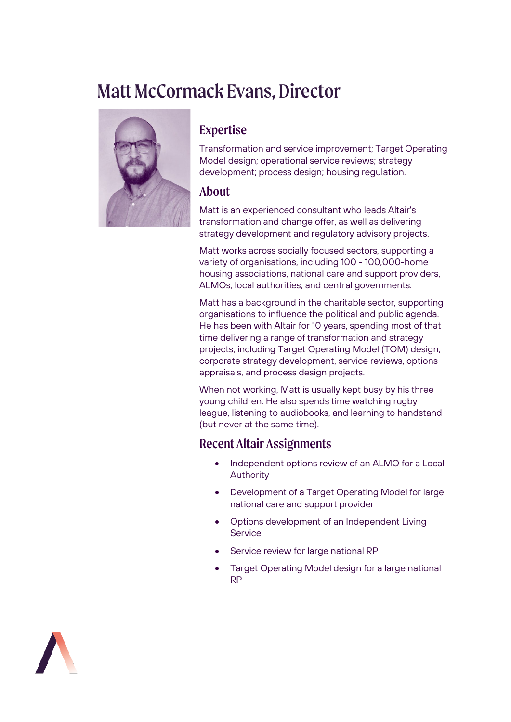# Matt McCormack Evans, Director



## Expertise

Transformation and service improvement; Target Operating Model design; operational service reviews; strategy development; process design; housing regulation.

#### About

Matt is an experienced consultant who leads Altair's transformation and change offer, as well as delivering strategy development and regulatory advisory projects.

Matt works across socially focused sectors, supporting a variety of organisations, including 100 - 100,000-home housing associations, national care and support providers, ALMOs, local authorities, and central governments.

Matt has a background in the charitable sector, supporting organisations to influence the political and public agenda. He has been with Altair for 10 years, spending most of that time delivering a range of transformation and strategy projects, including Target Operating Model (TOM) design, corporate strategy development, service reviews, options appraisals, and process design projects.

When not working, Matt is usually kept busy by his three young children. He also spends time watching rugby league, listening to audiobooks, and learning to handstand (but never at the same time).

### Recent Altair Assignments

- Independent options review of an ALMO for a Local Authority
- Development of a Target Operating Model for large national care and support provider
- Options development of an Independent Living **Service**
- Service review for large national RP
- Target Operating Model design for a large national RP